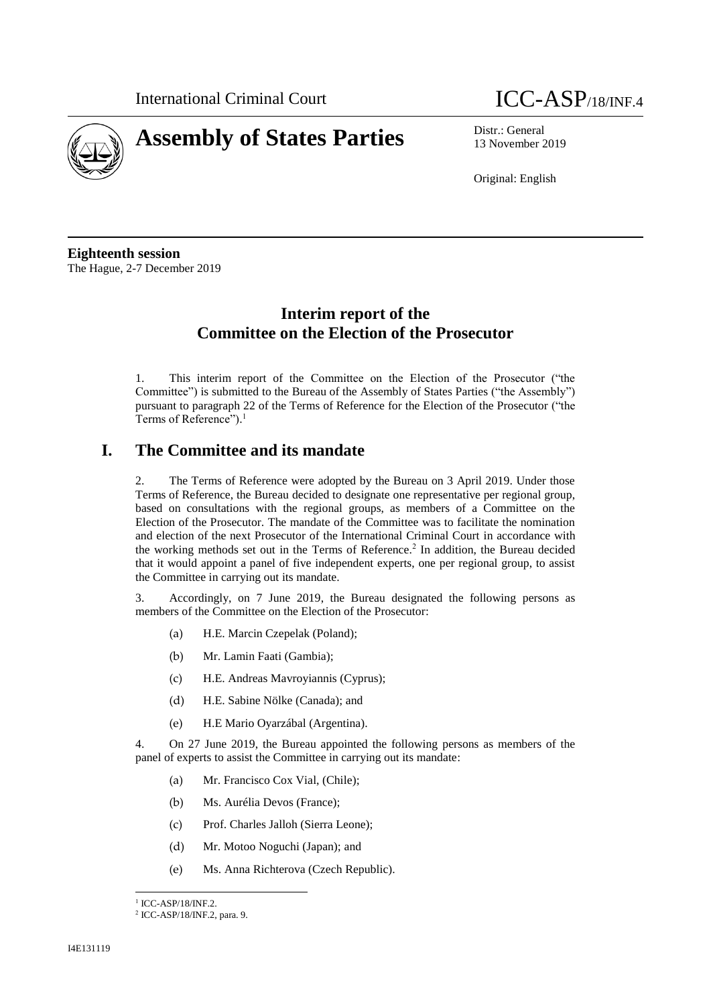



13 November 2019

Original: English

**Eighteenth session** The Hague, 2-7 December 2019

## **Interim report of the Committee on the Election of the Prosecutor**

1. This interim report of the Committee on the Election of the Prosecutor ("the Committee") is submitted to the Bureau of the Assembly of States Parties ("the Assembly") pursuant to paragraph 22 of the Terms of Reference for the Election of the Prosecutor ("the Terms of Reference").<sup>1</sup>

## **I. The Committee and its mandate**

2. The Terms of Reference were adopted by the Bureau on 3 April 2019. Under those Terms of Reference, the Bureau decided to designate one representative per regional group, based on consultations with the regional groups, as members of a Committee on the Election of the Prosecutor. The mandate of the Committee was to facilitate the nomination and election of the next Prosecutor of the International Criminal Court in accordance with the working methods set out in the Terms of Reference.<sup>2</sup> In addition, the Bureau decided that it would appoint a panel of five independent experts, one per regional group, to assist the Committee in carrying out its mandate.

3. Accordingly, on 7 June 2019, the Bureau designated the following persons as members of the Committee on the Election of the Prosecutor:

- (a) H.E. Marcin Czepelak (Poland);
- (b) Mr. Lamin Faati (Gambia);
- (c) H.E. Andreas Mavroyiannis (Cyprus);
- (d) H.E. Sabine Nölke (Canada); and
- (e) H.E Mario Oyarzábal (Argentina).

4. On 27 June 2019, the Bureau appointed the following persons as members of the panel of experts to assist the Committee in carrying out its mandate:

- (a) Mr. Francisco Cox Vial, (Chile);
- (b) Ms. Aurélia Devos (France);
- (c) Prof. Charles Jalloh (Sierra Leone);
- (d) Mr. Motoo Noguchi (Japan); and
- (e) Ms. Anna Richterova (Czech Republic).

 $\overline{\phantom{a}}$ <sup>1</sup> ICC-ASP/18/INF.2.

<sup>2</sup> ICC-ASP/18/INF.2, para. 9.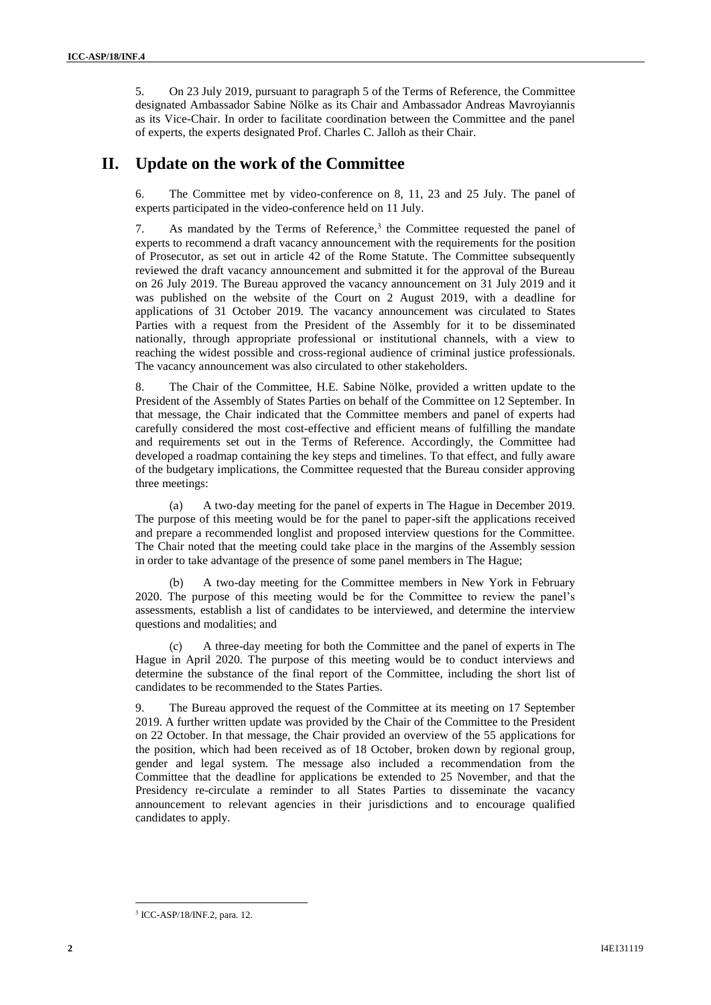5. On 23 July 2019, pursuant to paragraph 5 of the Terms of Reference, the Committee designated Ambassador Sabine Nölke as its Chair and Ambassador Andreas Mavroyiannis as its Vice-Chair. In order to facilitate coordination between the Committee and the panel of experts, the experts designated Prof. Charles C. Jalloh as their Chair.

## **II. Update on the work of the Committee**

6. The Committee met by video-conference on 8, 11, 23 and 25 July. The panel of experts participated in the video-conference held on 11 July.

7. As mandated by the Terms of Reference,<sup>3</sup> the Committee requested the panel of experts to recommend a draft vacancy announcement with the requirements for the position of Prosecutor, as set out in article 42 of the Rome Statute. The Committee subsequently reviewed the draft vacancy announcement and submitted it for the approval of the Bureau on 26 July 2019. The Bureau approved the vacancy announcement on 31 July 2019 and it was published on the website of the Court on 2 August 2019, with a deadline for applications of 31 October 2019. The vacancy announcement was circulated to States Parties with a request from the President of the Assembly for it to be disseminated nationally, through appropriate professional or institutional channels, with a view to reaching the widest possible and cross-regional audience of criminal justice professionals. The vacancy announcement was also circulated to other stakeholders.

8. The Chair of the Committee, H.E. Sabine Nölke, provided a written update to the President of the Assembly of States Parties on behalf of the Committee on 12 September. In that message, the Chair indicated that the Committee members and panel of experts had carefully considered the most cost-effective and efficient means of fulfilling the mandate and requirements set out in the Terms of Reference. Accordingly, the Committee had developed a roadmap containing the key steps and timelines. To that effect, and fully aware of the budgetary implications, the Committee requested that the Bureau consider approving three meetings:

(a) A two-day meeting for the panel of experts in The Hague in December 2019. The purpose of this meeting would be for the panel to paper-sift the applications received and prepare a recommended longlist and proposed interview questions for the Committee. The Chair noted that the meeting could take place in the margins of the Assembly session in order to take advantage of the presence of some panel members in The Hague;

(b) A two-day meeting for the Committee members in New York in February 2020. The purpose of this meeting would be for the Committee to review the panel's assessments, establish a list of candidates to be interviewed, and determine the interview questions and modalities; and

A three-day meeting for both the Committee and the panel of experts in The Hague in April 2020. The purpose of this meeting would be to conduct interviews and determine the substance of the final report of the Committee, including the short list of candidates to be recommended to the States Parties.

9. The Bureau approved the request of the Committee at its meeting on 17 September 2019. A further written update was provided by the Chair of the Committee to the President on 22 October. In that message, the Chair provided an overview of the 55 applications for the position, which had been received as of 18 October, broken down by regional group, gender and legal system. The message also included a recommendation from the Committee that the deadline for applications be extended to 25 November, and that the Presidency re-circulate a reminder to all States Parties to disseminate the vacancy announcement to relevant agencies in their jurisdictions and to encourage qualified candidates to apply.

 $\overline{\phantom{a}}$ 3 ICC-ASP/18/INF.2, para. 12.